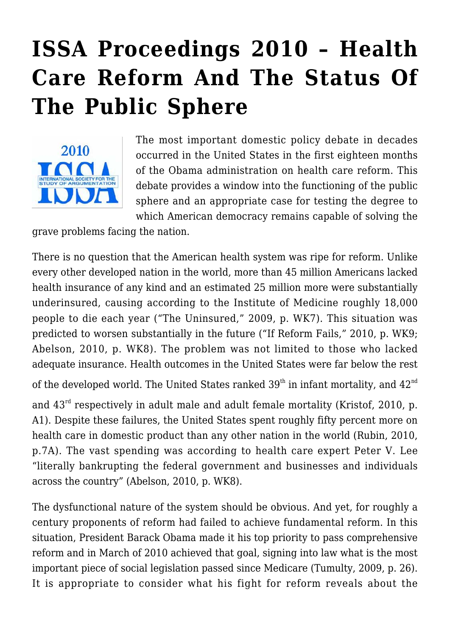# **[ISSA Proceedings 2010 – Health](https://rozenbergquarterly.com/issa-proceedings-2010-health-care-reform-and-the-status-of-the-public-sphere/) [Care Reform And The Status Of](https://rozenbergquarterly.com/issa-proceedings-2010-health-care-reform-and-the-status-of-the-public-sphere/) [The Public Sphere](https://rozenbergquarterly.com/issa-proceedings-2010-health-care-reform-and-the-status-of-the-public-sphere/)**



The most important domestic policy debate in decades occurred in the United States in the first eighteen months of the Obama administration on health care reform. This debate provides a window into the functioning of the public sphere and an appropriate case for testing the degree to which American democracy remains capable of solving the

grave problems facing the nation.

There is no question that the American health system was ripe for reform. Unlike every other developed nation in the world, more than 45 million Americans lacked health insurance of any kind and an estimated 25 million more were substantially underinsured, causing according to the Institute of Medicine roughly 18,000 people to die each year ("The Uninsured," 2009, p. WK7). This situation was predicted to worsen substantially in the future ("If Reform Fails," 2010, p. WK9; Abelson, 2010, p. WK8). The problem was not limited to those who lacked adequate insurance. Health outcomes in the United States were far below the rest

of the developed world. The United States ranked  $39<sup>th</sup>$  in infant mortality, and  $42<sup>nd</sup>$ 

and  $43<sup>rd</sup>$  respectively in adult male and adult female mortality (Kristof, 2010, p. A1). Despite these failures, the United States spent roughly fifty percent more on health care in domestic product than any other nation in the world (Rubin, 2010, p.7A). The vast spending was according to health care expert Peter V. Lee "literally bankrupting the federal government and businesses and individuals across the country" (Abelson, 2010, p. WK8).

The dysfunctional nature of the system should be obvious. And yet, for roughly a century proponents of reform had failed to achieve fundamental reform. In this situation, President Barack Obama made it his top priority to pass comprehensive reform and in March of 2010 achieved that goal, signing into law what is the most important piece of social legislation passed since Medicare (Tumulty, 2009, p. 26). It is appropriate to consider what his fight for reform reveals about the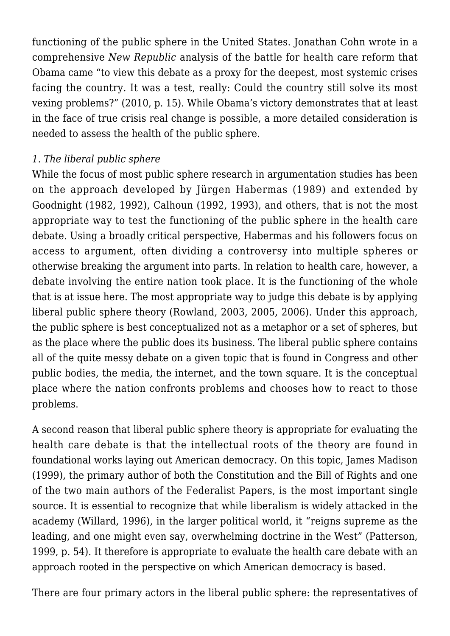functioning of the public sphere in the United States. Jonathan Cohn wrote in a comprehensive *New Republic* analysis of the battle for health care reform that Obama came "to view this debate as a proxy for the deepest, most systemic crises facing the country. It was a test, really: Could the country still solve its most vexing problems?" (2010, p. 15). While Obama's victory demonstrates that at least in the face of true crisis real change is possible, a more detailed consideration is needed to assess the health of the public sphere.

### *1. The liberal public sphere*

While the focus of most public sphere research in argumentation studies has been on the approach developed by Jürgen Habermas (1989) and extended by Goodnight (1982, 1992), Calhoun (1992, 1993), and others, that is not the most appropriate way to test the functioning of the public sphere in the health care debate. Using a broadly critical perspective, Habermas and his followers focus on access to argument, often dividing a controversy into multiple spheres or otherwise breaking the argument into parts. In relation to health care, however, a debate involving the entire nation took place. It is the functioning of the whole that is at issue here. The most appropriate way to judge this debate is by applying liberal public sphere theory (Rowland, 2003, 2005, 2006). Under this approach, the public sphere is best conceptualized not as a metaphor or a set of spheres, but as the place where the public does its business. The liberal public sphere contains all of the quite messy debate on a given topic that is found in Congress and other public bodies, the media, the internet, and the town square. It is the conceptual place where the nation confronts problems and chooses how to react to those problems.

A second reason that liberal public sphere theory is appropriate for evaluating the health care debate is that the intellectual roots of the theory are found in foundational works laying out American democracy. On this topic, James Madison (1999), the primary author of both the Constitution and the Bill of Rights and one of the two main authors of the Federalist Papers, is the most important single source. It is essential to recognize that while liberalism is widely attacked in the academy (Willard, 1996), in the larger political world, it "reigns supreme as the leading, and one might even say, overwhelming doctrine in the West" (Patterson, 1999, p. 54). It therefore is appropriate to evaluate the health care debate with an approach rooted in the perspective on which American democracy is based.

There are four primary actors in the liberal public sphere: the representatives of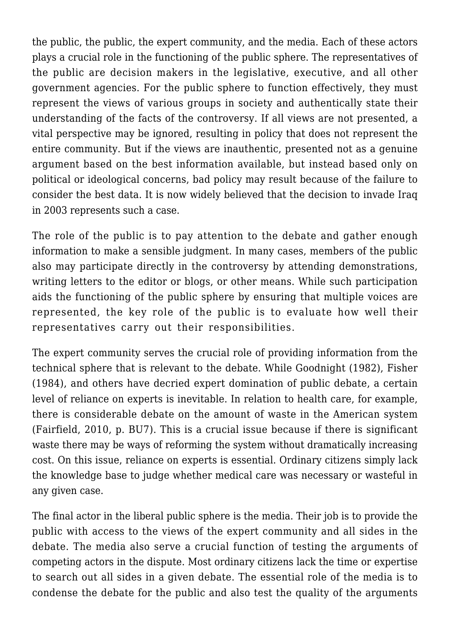the public, the public, the expert community, and the media. Each of these actors plays a crucial role in the functioning of the public sphere. The representatives of the public are decision makers in the legislative, executive, and all other government agencies. For the public sphere to function effectively, they must represent the views of various groups in society and authentically state their understanding of the facts of the controversy. If all views are not presented, a vital perspective may be ignored, resulting in policy that does not represent the entire community. But if the views are inauthentic, presented not as a genuine argument based on the best information available, but instead based only on political or ideological concerns, bad policy may result because of the failure to consider the best data. It is now widely believed that the decision to invade Iraq in 2003 represents such a case.

The role of the public is to pay attention to the debate and gather enough information to make a sensible judgment. In many cases, members of the public also may participate directly in the controversy by attending demonstrations, writing letters to the editor or blogs, or other means. While such participation aids the functioning of the public sphere by ensuring that multiple voices are represented, the key role of the public is to evaluate how well their representatives carry out their responsibilities.

The expert community serves the crucial role of providing information from the technical sphere that is relevant to the debate. While Goodnight (1982), Fisher (1984), and others have decried expert domination of public debate, a certain level of reliance on experts is inevitable. In relation to health care, for example, there is considerable debate on the amount of waste in the American system (Fairfield, 2010, p. BU7). This is a crucial issue because if there is significant waste there may be ways of reforming the system without dramatically increasing cost. On this issue, reliance on experts is essential. Ordinary citizens simply lack the knowledge base to judge whether medical care was necessary or wasteful in any given case.

The final actor in the liberal public sphere is the media. Their job is to provide the public with access to the views of the expert community and all sides in the debate. The media also serve a crucial function of testing the arguments of competing actors in the dispute. Most ordinary citizens lack the time or expertise to search out all sides in a given debate. The essential role of the media is to condense the debate for the public and also test the quality of the arguments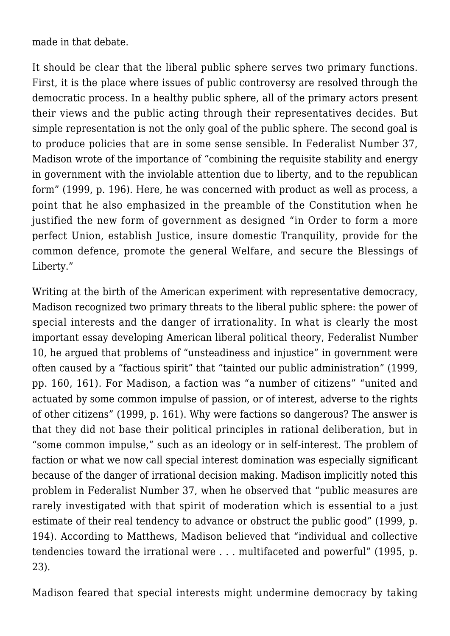made in that debate.

It should be clear that the liberal public sphere serves two primary functions. First, it is the place where issues of public controversy are resolved through the democratic process. In a healthy public sphere, all of the primary actors present their views and the public acting through their representatives decides. But simple representation is not the only goal of the public sphere. The second goal is to produce policies that are in some sense sensible. In Federalist Number 37, Madison wrote of the importance of "combining the requisite stability and energy in government with the inviolable attention due to liberty, and to the republican form" (1999, p. 196). Here, he was concerned with product as well as process, a point that he also emphasized in the preamble of the Constitution when he justified the new form of government as designed "in Order to form a more perfect Union, establish Justice, insure domestic Tranquility, provide for the common defence, promote the general Welfare, and secure the Blessings of Liberty."

Writing at the birth of the American experiment with representative democracy, Madison recognized two primary threats to the liberal public sphere: the power of special interests and the danger of irrationality. In what is clearly the most important essay developing American liberal political theory, Federalist Number 10, he argued that problems of "unsteadiness and injustice" in government were often caused by a "factious spirit" that "tainted our public administration" (1999, pp. 160, 161). For Madison, a faction was "a number of citizens" "united and actuated by some common impulse of passion, or of interest, adverse to the rights of other citizens" (1999, p. 161). Why were factions so dangerous? The answer is that they did not base their political principles in rational deliberation, but in "some common impulse," such as an ideology or in self-interest. The problem of faction or what we now call special interest domination was especially significant because of the danger of irrational decision making. Madison implicitly noted this problem in Federalist Number 37, when he observed that "public measures are rarely investigated with that spirit of moderation which is essential to a just estimate of their real tendency to advance or obstruct the public good" (1999, p. 194). According to Matthews, Madison believed that "individual and collective tendencies toward the irrational were . . . multifaceted and powerful" (1995, p. 23).

Madison feared that special interests might undermine democracy by taking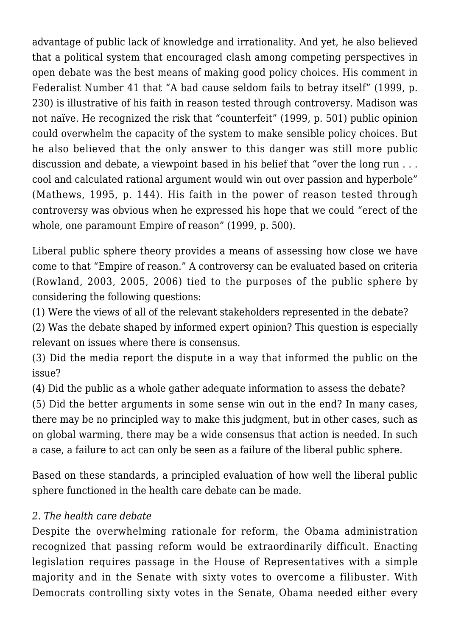advantage of public lack of knowledge and irrationality. And yet, he also believed that a political system that encouraged clash among competing perspectives in open debate was the best means of making good policy choices. His comment in Federalist Number 41 that "A bad cause seldom fails to betray itself" (1999, p. 230) is illustrative of his faith in reason tested through controversy. Madison was not naïve. He recognized the risk that "counterfeit" (1999, p. 501) public opinion could overwhelm the capacity of the system to make sensible policy choices. But he also believed that the only answer to this danger was still more public discussion and debate, a viewpoint based in his belief that "over the long run . . . cool and calculated rational argument would win out over passion and hyperbole" (Mathews, 1995, p. 144). His faith in the power of reason tested through controversy was obvious when he expressed his hope that we could "erect of the whole, one paramount Empire of reason" (1999, p. 500).

Liberal public sphere theory provides a means of assessing how close we have come to that "Empire of reason." A controversy can be evaluated based on criteria (Rowland, 2003, 2005, 2006) tied to the purposes of the public sphere by considering the following questions:

(1) Were the views of all of the relevant stakeholders represented in the debate?

(2) Was the debate shaped by informed expert opinion? This question is especially relevant on issues where there is consensus.

(3) Did the media report the dispute in a way that informed the public on the issue?

(4) Did the public as a whole gather adequate information to assess the debate?

(5) Did the better arguments in some sense win out in the end? In many cases, there may be no principled way to make this judgment, but in other cases, such as on global warming, there may be a wide consensus that action is needed. In such a case, a failure to act can only be seen as a failure of the liberal public sphere.

Based on these standards, a principled evaluation of how well the liberal public sphere functioned in the health care debate can be made.

## *2. The health care debate*

Despite the overwhelming rationale for reform, the Obama administration recognized that passing reform would be extraordinarily difficult. Enacting legislation requires passage in the House of Representatives with a simple majority and in the Senate with sixty votes to overcome a filibuster. With Democrats controlling sixty votes in the Senate, Obama needed either every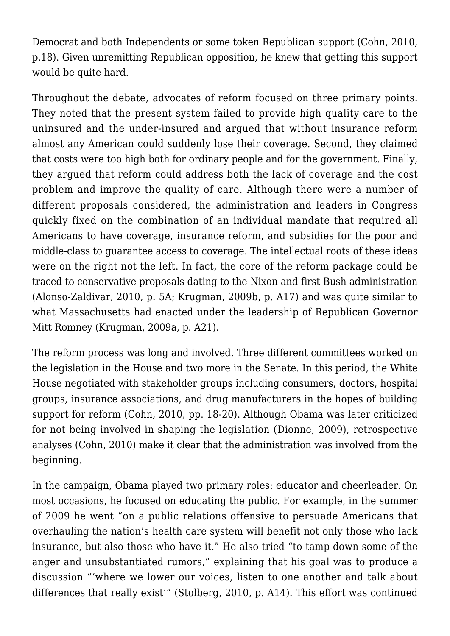Democrat and both Independents or some token Republican support (Cohn, 2010, p.18). Given unremitting Republican opposition, he knew that getting this support would be quite hard.

Throughout the debate, advocates of reform focused on three primary points. They noted that the present system failed to provide high quality care to the uninsured and the under-insured and argued that without insurance reform almost any American could suddenly lose their coverage. Second, they claimed that costs were too high both for ordinary people and for the government. Finally, they argued that reform could address both the lack of coverage and the cost problem and improve the quality of care. Although there were a number of different proposals considered, the administration and leaders in Congress quickly fixed on the combination of an individual mandate that required all Americans to have coverage, insurance reform, and subsidies for the poor and middle-class to guarantee access to coverage. The intellectual roots of these ideas were on the right not the left. In fact, the core of the reform package could be traced to conservative proposals dating to the Nixon and first Bush administration (Alonso-Zaldivar, 2010, p. 5A; Krugman, 2009b, p. A17) and was quite similar to what Massachusetts had enacted under the leadership of Republican Governor Mitt Romney (Krugman, 2009a, p. A21).

The reform process was long and involved. Three different committees worked on the legislation in the House and two more in the Senate. In this period, the White House negotiated with stakeholder groups including consumers, doctors, hospital groups, insurance associations, and drug manufacturers in the hopes of building support for reform (Cohn, 2010, pp. 18-20). Although Obama was later criticized for not being involved in shaping the legislation (Dionne, 2009), retrospective analyses (Cohn, 2010) make it clear that the administration was involved from the beginning.

In the campaign, Obama played two primary roles: educator and cheerleader. On most occasions, he focused on educating the public. For example, in the summer of 2009 he went "on a public relations offensive to persuade Americans that overhauling the nation's health care system will benefit not only those who lack insurance, but also those who have it." He also tried "to tamp down some of the anger and unsubstantiated rumors," explaining that his goal was to produce a discussion "'where we lower our voices, listen to one another and talk about differences that really exist'" (Stolberg, 2010, p. A14). This effort was continued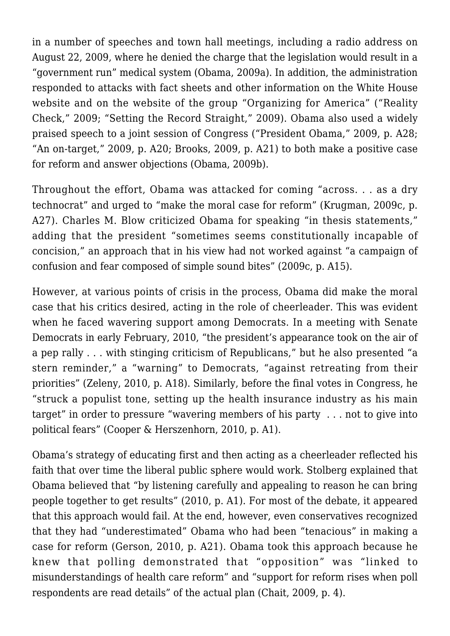in a number of speeches and town hall meetings, including a radio address on August 22, 2009, where he denied the charge that the legislation would result in a "government run" medical system (Obama, 2009a). In addition, the administration responded to attacks with fact sheets and other information on the White House website and on the website of the group "Organizing for America" ("Reality Check," 2009; "Setting the Record Straight," 2009). Obama also used a widely praised speech to a joint session of Congress ("President Obama," 2009, p. A28; "An on-target," 2009, p. A20; Brooks, 2009, p. A21) to both make a positive case for reform and answer objections (Obama, 2009b).

Throughout the effort, Obama was attacked for coming "across. . . as a dry technocrat" and urged to "make the moral case for reform" (Krugman, 2009c, p. A27). Charles M. Blow criticized Obama for speaking "in thesis statements," adding that the president "sometimes seems constitutionally incapable of concision," an approach that in his view had not worked against "a campaign of confusion and fear composed of simple sound bites" (2009c, p. A15).

However, at various points of crisis in the process, Obama did make the moral case that his critics desired, acting in the role of cheerleader. This was evident when he faced wavering support among Democrats. In a meeting with Senate Democrats in early February, 2010, "the president's appearance took on the air of a pep rally . . . with stinging criticism of Republicans," but he also presented "a stern reminder," a "warning" to Democrats, "against retreating from their priorities" (Zeleny, 2010, p. A18). Similarly, before the final votes in Congress, he "struck a populist tone, setting up the health insurance industry as his main target" in order to pressure "wavering members of his party . . . not to give into political fears" (Cooper & Herszenhorn, 2010, p. A1).

Obama's strategy of educating first and then acting as a cheerleader reflected his faith that over time the liberal public sphere would work. Stolberg explained that Obama believed that "by listening carefully and appealing to reason he can bring people together to get results" (2010, p. A1). For most of the debate, it appeared that this approach would fail. At the end, however, even conservatives recognized that they had "underestimated" Obama who had been "tenacious" in making a case for reform (Gerson, 2010, p. A21). Obama took this approach because he knew that polling demonstrated that "opposition" was "linked to misunderstandings of health care reform" and "support for reform rises when poll respondents are read details" of the actual plan (Chait, 2009, p. 4).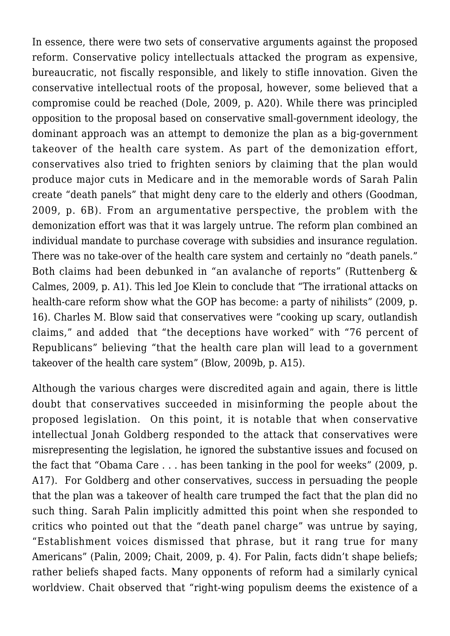In essence, there were two sets of conservative arguments against the proposed reform. Conservative policy intellectuals attacked the program as expensive, bureaucratic, not fiscally responsible, and likely to stifle innovation. Given the conservative intellectual roots of the proposal, however, some believed that a compromise could be reached (Dole, 2009, p. A20). While there was principled opposition to the proposal based on conservative small-government ideology, the dominant approach was an attempt to demonize the plan as a big-government takeover of the health care system. As part of the demonization effort, conservatives also tried to frighten seniors by claiming that the plan would produce major cuts in Medicare and in the memorable words of Sarah Palin create "death panels" that might deny care to the elderly and others (Goodman, 2009, p. 6B). From an argumentative perspective, the problem with the demonization effort was that it was largely untrue. The reform plan combined an individual mandate to purchase coverage with subsidies and insurance regulation. There was no take-over of the health care system and certainly no "death panels." Both claims had been debunked in "an avalanche of reports" (Ruttenberg & Calmes, 2009, p. A1). This led Joe Klein to conclude that "The irrational attacks on health-care reform show what the GOP has become: a party of nihilists" (2009, p. 16). Charles M. Blow said that conservatives were "cooking up scary, outlandish claims," and added that "the deceptions have worked" with "76 percent of Republicans" believing "that the health care plan will lead to a government takeover of the health care system" (Blow, 2009b, p. A15).

Although the various charges were discredited again and again, there is little doubt that conservatives succeeded in misinforming the people about the proposed legislation. On this point, it is notable that when conservative intellectual Jonah Goldberg responded to the attack that conservatives were misrepresenting the legislation, he ignored the substantive issues and focused on the fact that "Obama Care . . . has been tanking in the pool for weeks" (2009, p. A17). For Goldberg and other conservatives, success in persuading the people that the plan was a takeover of health care trumped the fact that the plan did no such thing. Sarah Palin implicitly admitted this point when she responded to critics who pointed out that the "death panel charge" was untrue by saying, "Establishment voices dismissed that phrase, but it rang true for many Americans" (Palin, 2009; Chait, 2009, p. 4). For Palin, facts didn't shape beliefs; rather beliefs shaped facts. Many opponents of reform had a similarly cynical worldview. Chait observed that "right-wing populism deems the existence of a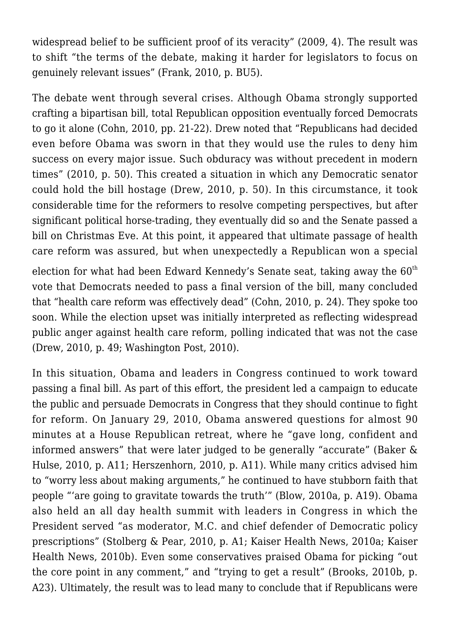widespread belief to be sufficient proof of its veracity" (2009, 4). The result was to shift "the terms of the debate, making it harder for legislators to focus on genuinely relevant issues" (Frank, 2010, p. BU5).

The debate went through several crises. Although Obama strongly supported crafting a bipartisan bill, total Republican opposition eventually forced Democrats to go it alone (Cohn, 2010, pp. 21-22). Drew noted that "Republicans had decided even before Obama was sworn in that they would use the rules to deny him success on every major issue. Such obduracy was without precedent in modern times" (2010, p. 50). This created a situation in which any Democratic senator could hold the bill hostage (Drew, 2010, p. 50). In this circumstance, it took considerable time for the reformers to resolve competing perspectives, but after significant political horse-trading, they eventually did so and the Senate passed a bill on Christmas Eve. At this point, it appeared that ultimate passage of health care reform was assured, but when unexpectedly a Republican won a special

election for what had been Edward Kennedy's Senate seat, taking away the  $60<sup>th</sup>$ vote that Democrats needed to pass a final version of the bill, many concluded that "health care reform was effectively dead" (Cohn, 2010, p. 24). They spoke too soon. While the election upset was initially interpreted as reflecting widespread public anger against health care reform, polling indicated that was not the case (Drew, 2010, p. 49; Washington Post, 2010).

In this situation, Obama and leaders in Congress continued to work toward passing a final bill. As part of this effort, the president led a campaign to educate the public and persuade Democrats in Congress that they should continue to fight for reform. On January 29, 2010, Obama answered questions for almost 90 minutes at a House Republican retreat, where he "gave long, confident and informed answers" that were later judged to be generally "accurate" (Baker & Hulse, 2010, p. A11; Herszenhorn, 2010, p. A11). While many critics advised him to "worry less about making arguments," he continued to have stubborn faith that people "'are going to gravitate towards the truth'" (Blow, 2010a, p. A19). Obama also held an all day health summit with leaders in Congress in which the President served "as moderator, M.C. and chief defender of Democratic policy prescriptions" (Stolberg & Pear, 2010, p. A1; Kaiser Health News, 2010a; Kaiser Health News, 2010b). Even some conservatives praised Obama for picking "out the core point in any comment," and "trying to get a result" (Brooks, 2010b, p. A23). Ultimately, the result was to lead many to conclude that if Republicans were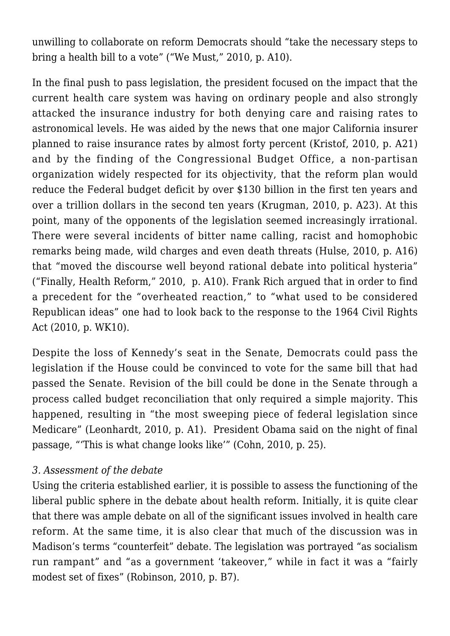unwilling to collaborate on reform Democrats should "take the necessary steps to bring a health bill to a vote" ("We Must," 2010, p. A10).

In the final push to pass legislation, the president focused on the impact that the current health care system was having on ordinary people and also strongly attacked the insurance industry for both denying care and raising rates to astronomical levels. He was aided by the news that one major California insurer planned to raise insurance rates by almost forty percent (Kristof, 2010, p. A21) and by the finding of the Congressional Budget Office, a non-partisan organization widely respected for its objectivity, that the reform plan would reduce the Federal budget deficit by over \$130 billion in the first ten years and over a trillion dollars in the second ten years (Krugman, 2010, p. A23). At this point, many of the opponents of the legislation seemed increasingly irrational. There were several incidents of bitter name calling, racist and homophobic remarks being made, wild charges and even death threats (Hulse, 2010, p. A16) that "moved the discourse well beyond rational debate into political hysteria" ("Finally, Health Reform," 2010, p. A10). Frank Rich argued that in order to find a precedent for the "overheated reaction," to "what used to be considered Republican ideas" one had to look back to the response to the 1964 Civil Rights Act (2010, p. WK10).

Despite the loss of Kennedy's seat in the Senate, Democrats could pass the legislation if the House could be convinced to vote for the same bill that had passed the Senate. Revision of the bill could be done in the Senate through a process called budget reconciliation that only required a simple majority. This happened, resulting in "the most sweeping piece of federal legislation since Medicare" (Leonhardt, 2010, p. A1). President Obama said on the night of final passage, "'This is what change looks like'" (Cohn, 2010, p. 25).

### *3. Assessment of the debate*

Using the criteria established earlier, it is possible to assess the functioning of the liberal public sphere in the debate about health reform. Initially, it is quite clear that there was ample debate on all of the significant issues involved in health care reform. At the same time, it is also clear that much of the discussion was in Madison's terms "counterfeit" debate. The legislation was portrayed "as socialism run rampant" and "as a government 'takeover," while in fact it was a "fairly modest set of fixes" (Robinson, 2010, p. B7).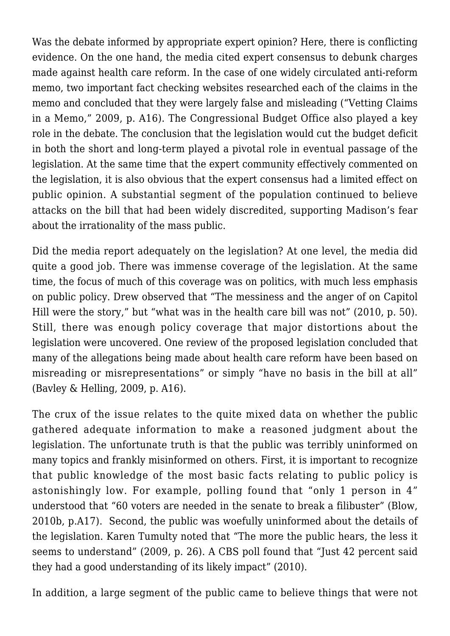Was the debate informed by appropriate expert opinion? Here, there is conflicting evidence. On the one hand, the media cited expert consensus to debunk charges made against health care reform. In the case of one widely circulated anti-reform memo, two important fact checking websites researched each of the claims in the memo and concluded that they were largely false and misleading ("Vetting Claims in a Memo," 2009, p. A16). The Congressional Budget Office also played a key role in the debate. The conclusion that the legislation would cut the budget deficit in both the short and long-term played a pivotal role in eventual passage of the legislation. At the same time that the expert community effectively commented on the legislation, it is also obvious that the expert consensus had a limited effect on public opinion. A substantial segment of the population continued to believe attacks on the bill that had been widely discredited, supporting Madison's fear about the irrationality of the mass public.

Did the media report adequately on the legislation? At one level, the media did quite a good job. There was immense coverage of the legislation. At the same time, the focus of much of this coverage was on politics, with much less emphasis on public policy. Drew observed that "The messiness and the anger of on Capitol Hill were the story," but "what was in the health care bill was not" (2010, p. 50). Still, there was enough policy coverage that major distortions about the legislation were uncovered. One review of the proposed legislation concluded that many of the allegations being made about health care reform have been based on misreading or misrepresentations" or simply "have no basis in the bill at all" (Bavley & Helling, 2009, p. A16).

The crux of the issue relates to the quite mixed data on whether the public gathered adequate information to make a reasoned judgment about the legislation. The unfortunate truth is that the public was terribly uninformed on many topics and frankly misinformed on others. First, it is important to recognize that public knowledge of the most basic facts relating to public policy is astonishingly low. For example, polling found that "only 1 person in 4" understood that "60 voters are needed in the senate to break a filibuster" (Blow, 2010b, p.A17). Second, the public was woefully uninformed about the details of the legislation. Karen Tumulty noted that "The more the public hears, the less it seems to understand" (2009, p. 26). A CBS poll found that "Just 42 percent said they had a good understanding of its likely impact" (2010).

In addition, a large segment of the public came to believe things that were not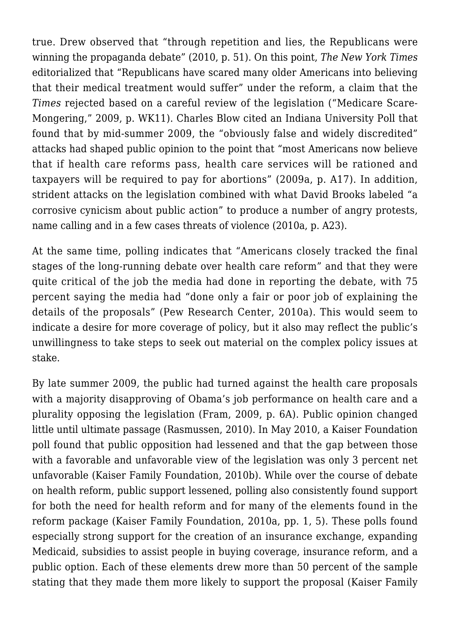true. Drew observed that "through repetition and lies, the Republicans were winning the propaganda debate" (2010, p. 51). On this point, *The New York Times* editorialized that "Republicans have scared many older Americans into believing that their medical treatment would suffer" under the reform, a claim that the *Times* rejected based on a careful review of the legislation ("Medicare Scare-Mongering," 2009, p. WK11). Charles Blow cited an Indiana University Poll that found that by mid-summer 2009, the "obviously false and widely discredited" attacks had shaped public opinion to the point that "most Americans now believe that if health care reforms pass, health care services will be rationed and taxpayers will be required to pay for abortions" (2009a, p. A17). In addition, strident attacks on the legislation combined with what David Brooks labeled "a corrosive cynicism about public action" to produce a number of angry protests, name calling and in a few cases threats of violence (2010a, p. A23).

At the same time, polling indicates that "Americans closely tracked the final stages of the long-running debate over health care reform" and that they were quite critical of the job the media had done in reporting the debate, with 75 percent saying the media had "done only a fair or poor job of explaining the details of the proposals" (Pew Research Center, 2010a). This would seem to indicate a desire for more coverage of policy, but it also may reflect the public's unwillingness to take steps to seek out material on the complex policy issues at stake.

By late summer 2009, the public had turned against the health care proposals with a majority disapproving of Obama's job performance on health care and a plurality opposing the legislation (Fram, 2009, p. 6A). Public opinion changed little until ultimate passage (Rasmussen, 2010). In May 2010, a Kaiser Foundation poll found that public opposition had lessened and that the gap between those with a favorable and unfavorable view of the legislation was only 3 percent net unfavorable (Kaiser Family Foundation, 2010b). While over the course of debate on health reform, public support lessened, polling also consistently found support for both the need for health reform and for many of the elements found in the reform package (Kaiser Family Foundation, 2010a, pp. 1, 5). These polls found especially strong support for the creation of an insurance exchange, expanding Medicaid, subsidies to assist people in buying coverage, insurance reform, and a public option. Each of these elements drew more than 50 percent of the sample stating that they made them more likely to support the proposal (Kaiser Family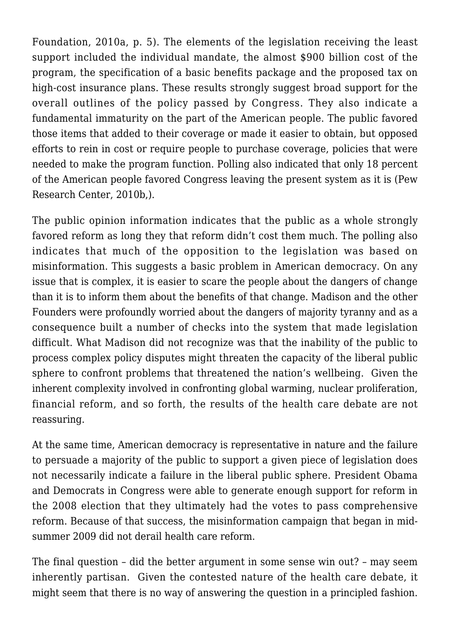Foundation, 2010a, p. 5). The elements of the legislation receiving the least support included the individual mandate, the almost \$900 billion cost of the program, the specification of a basic benefits package and the proposed tax on high-cost insurance plans. These results strongly suggest broad support for the overall outlines of the policy passed by Congress. They also indicate a fundamental immaturity on the part of the American people. The public favored those items that added to their coverage or made it easier to obtain, but opposed efforts to rein in cost or require people to purchase coverage, policies that were needed to make the program function. Polling also indicated that only 18 percent of the American people favored Congress leaving the present system as it is (Pew Research Center, 2010b,).

The public opinion information indicates that the public as a whole strongly favored reform as long they that reform didn't cost them much. The polling also indicates that much of the opposition to the legislation was based on misinformation. This suggests a basic problem in American democracy. On any issue that is complex, it is easier to scare the people about the dangers of change than it is to inform them about the benefits of that change. Madison and the other Founders were profoundly worried about the dangers of majority tyranny and as a consequence built a number of checks into the system that made legislation difficult. What Madison did not recognize was that the inability of the public to process complex policy disputes might threaten the capacity of the liberal public sphere to confront problems that threatened the nation's wellbeing. Given the inherent complexity involved in confronting global warming, nuclear proliferation, financial reform, and so forth, the results of the health care debate are not reassuring.

At the same time, American democracy is representative in nature and the failure to persuade a majority of the public to support a given piece of legislation does not necessarily indicate a failure in the liberal public sphere. President Obama and Democrats in Congress were able to generate enough support for reform in the 2008 election that they ultimately had the votes to pass comprehensive reform. Because of that success, the misinformation campaign that began in midsummer 2009 did not derail health care reform.

The final question – did the better argument in some sense win out? – may seem inherently partisan. Given the contested nature of the health care debate, it might seem that there is no way of answering the question in a principled fashion.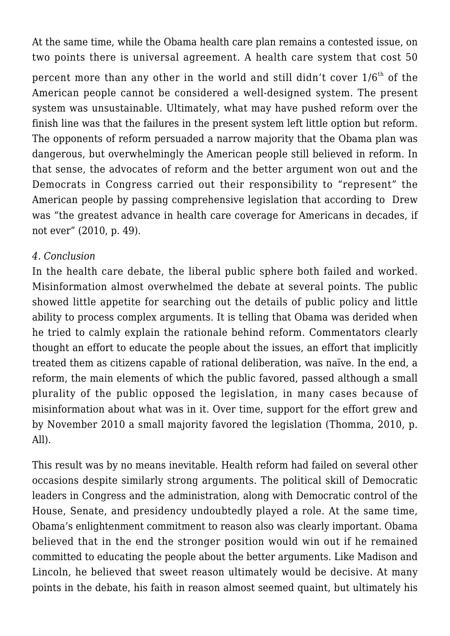At the same time, while the Obama health care plan remains a contested issue, on two points there is universal agreement. A health care system that cost 50

percent more than any other in the world and still didn't cover  $1/6<sup>th</sup>$  of the American people cannot be considered a well-designed system. The present system was unsustainable. Ultimately, what may have pushed reform over the finish line was that the failures in the present system left little option but reform. The opponents of reform persuaded a narrow majority that the Obama plan was dangerous, but overwhelmingly the American people still believed in reform. In that sense, the advocates of reform and the better argument won out and the Democrats in Congress carried out their responsibility to "represent" the American people by passing comprehensive legislation that according to Drew was "the greatest advance in health care coverage for Americans in decades, if not ever" (2010, p. 49).

#### *4. Conclusion*

In the health care debate, the liberal public sphere both failed and worked. Misinformation almost overwhelmed the debate at several points. The public showed little appetite for searching out the details of public policy and little ability to process complex arguments. It is telling that Obama was derided when he tried to calmly explain the rationale behind reform. Commentators clearly thought an effort to educate the people about the issues, an effort that implicitly treated them as citizens capable of rational deliberation, was naïve. In the end, a reform, the main elements of which the public favored, passed although a small plurality of the public opposed the legislation, in many cases because of misinformation about what was in it. Over time, support for the effort grew and by November 2010 a small majority favored the legislation (Thomma, 2010, p. All).

This result was by no means inevitable. Health reform had failed on several other occasions despite similarly strong arguments. The political skill of Democratic leaders in Congress and the administration, along with Democratic control of the House, Senate, and presidency undoubtedly played a role. At the same time, Obama's enlightenment commitment to reason also was clearly important. Obama believed that in the end the stronger position would win out if he remained committed to educating the people about the better arguments. Like Madison and Lincoln, he believed that sweet reason ultimately would be decisive. At many points in the debate, his faith in reason almost seemed quaint, but ultimately his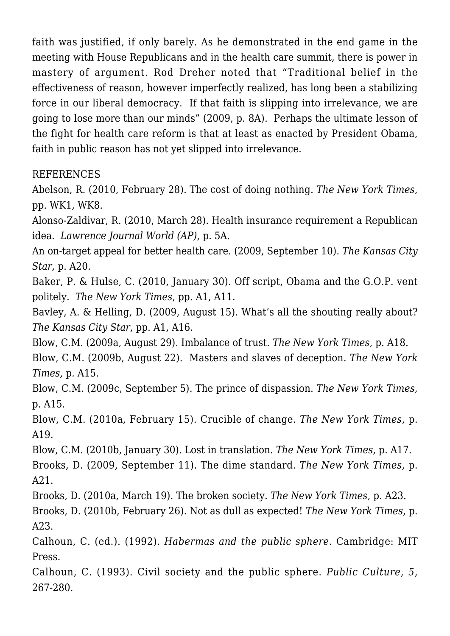faith was justified, if only barely. As he demonstrated in the end game in the meeting with House Republicans and in the health care summit, there is power in mastery of argument. Rod Dreher noted that "Traditional belief in the effectiveness of reason, however imperfectly realized, has long been a stabilizing force in our liberal democracy. If that faith is slipping into irrelevance, we are going to lose more than our minds" (2009, p. 8A). Perhaps the ultimate lesson of the fight for health care reform is that at least as enacted by President Obama, faith in public reason has not yet slipped into irrelevance.

### REFERENCES

Abelson, R. (2010, February 28). The cost of doing nothing. *The New York Times*, pp. WK1, WK8.

Alonso-Zaldivar, R. (2010, March 28). Health insurance requirement a Republican idea. *Lawrence Journal World (AP),* p. 5A.

An on-target appeal for better health care. (2009, September 10). *The Kansas City Star*, p. A20.

Baker, P. & Hulse, C. (2010, January 30). Off script, Obama and the G.O.P. vent politely. *The New York Times*, pp. A1, A11.

Bavley, A. & Helling, D. (2009, August 15). What's all the shouting really about? *The Kansas City Star*, pp. A1, A16.

Blow, C.M. (2009a, August 29). Imbalance of trust. *The New York Times*, p. A18. Blow, C.M. (2009b, August 22). Masters and slaves of deception. *The New York Times,* p*.* A15.

Blow, C.M. (2009c, September 5). The prince of dispassion. *The New York Times*, p. A15.

Blow, C.M. (2010a, February 15). Crucible of change. *The New York Times*, p. A19.

Blow, C.M. (2010b, January 30). Lost in translation. *The New York Times*, p. A17. Brooks, D. (2009, September 11). The dime standard. *The New York Times*, p. A21.

Brooks, D. (2010a, March 19). The broken society. *The New York Times*, p. A23.

Brooks, D. (2010b, February 26). Not as dull as expected! *The New York Times*, p. A23.

Calhoun, C. (ed.). (1992). *Habermas and the public sphere.* Cambridge: MIT Press.

Calhoun, C. (1993). Civil society and the public sphere. *Public Culture*, *5*, 267-280.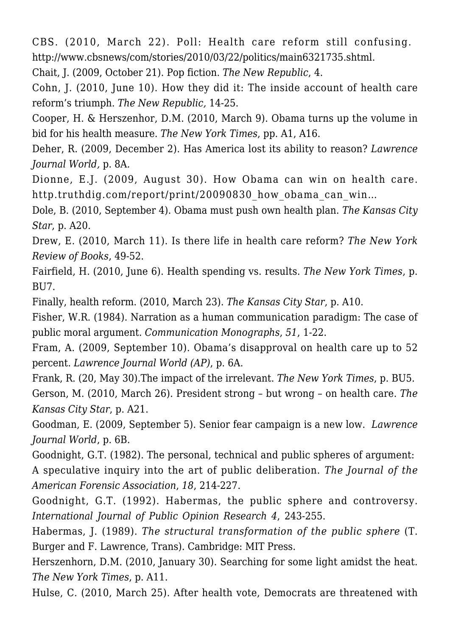CBS. (2010, March 22). Poll: Health care reform still confusing. http://www.cbsnews/com/stories/2010/03/22/politics/main6321735.shtml.

Chait, J. (2009, October 21). Pop fiction. *The New Republic*, 4.

Cohn, J. (2010, June 10). How they did it: The inside account of health care reform's triumph. *The New Republic,* 14-25.

Cooper, H. & Herszenhor, D.M. (2010, March 9). Obama turns up the volume in bid for his health measure. *The New York Times*, pp. A1, A16.

Deher, R. (2009, December 2). Has America lost its ability to reason? *Lawrence Journal World,* p. 8A*.* 

Dionne, E.J. (2009, August 30). How Obama can win on health care. http.truthdig.com/report/print/20090830\_how\_obama\_can\_win…

Dole, B. (2010, September 4). Obama must push own health plan. *The Kansas City Star*, p. A20.

Drew, E. (2010, March 11). Is there life in health care reform? *The New York Review of Books*, 49-52.

Fairfield, H. (2010, June 6). Health spending vs. results. *The New York Times*, p. BU7.

Finally, health reform. (2010, March 23). *The Kansas City Star*, p. A10.

Fisher, W.R. (1984). Narration as a human communication paradigm: The case of public moral argument. *Communication Monographs*, *51*, 1-22.

Fram, A. (2009, September 10). Obama's disapproval on health care up to 52 percent. *Lawrence Journal World (AP)*, p. 6A.

Frank, R. (20, May 30).The impact of the irrelevant. *The New York Times*, p. BU5. Gerson, M. (2010, March 26). President strong – but wrong – on health care. *The Kansas City Star*, p. A21.

Goodman, E. (2009, September 5). Senior fear campaign is a new low. *Lawrence Journal World*, p. 6B.

Goodnight, G.T. (1982). The personal, technical and public spheres of argument: A speculative inquiry into the art of public deliberation. *The Journal of the American Forensic Association*, *18*, 214-227.

Goodnight, G.T. (1992). Habermas, the public sphere and controversy. *International Journal of Public Opinion Research 4*, 243-255.

Habermas, J. (1989). *The structural transformation of the public sphere* (T. Burger and F. Lawrence, Trans). Cambridge: MIT Press.

Herszenhorn, D.M. (2010, January 30). Searching for some light amidst the heat. *The New York Times*, p. A11.

Hulse, C. (2010, March 25). After health vote, Democrats are threatened with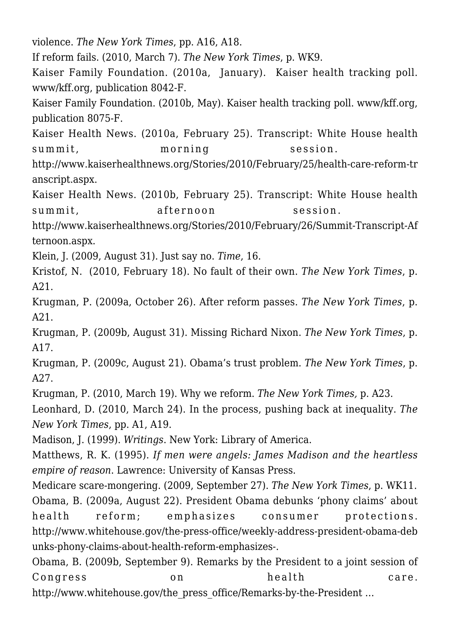violence. *The New York Times*, pp. A16, A18.

If reform fails. (2010, March 7). *The New York Times*, p. WK9.

Kaiser Family Foundation. (2010a, January). Kaiser health tracking poll. www/kff.org, publication 8042-F.

Kaiser Family Foundation. (2010b, May). Kaiser health tracking poll. www/kff.org, publication 8075-F.

Kaiser Health News. (2010a, February 25). Transcript: White House health summit. morning session.

http://www.kaiserhealthnews.org/Stories/2010/February/25/health-care-reform-tr anscript.aspx.

Kaiser Health News. (2010b, February 25). Transcript: White House health summit. afternoon session.

http://www.kaiserhealthnews.org/Stories/2010/February/26/Summit-Transcript-Af ternoon.aspx.

Klein, J. (2009, August 31). Just say no. *Time*, 16.

Kristof, N. (2010, February 18). No fault of their own. *The New York Times*, p. A21.

Krugman, P. (2009a, October 26). After reform passes. *The New York Times*, p. A21.

Krugman, P. (2009b, August 31). Missing Richard Nixon. *The New York Times*, p. A17.

Krugman, P. (2009c, August 21). Obama's trust problem. *The New York Times*, p. A27.

Krugman, P. (2010, March 19). Why we reform. *The New York Times,* p. A23.

Leonhard, D. (2010, March 24). In the process, pushing back at inequality. *The New York Times*, pp. A1, A19.

Madison, J. (1999). *Writings*. New York: Library of America.

Matthews, R. K. (1995). *If men were angels: James Madison and the heartless empire of reason*. Lawrence: University of Kansas Press.

Medicare scare-mongering. (2009, September 27). *The New York Times*, p. WK11. Obama, B. (2009a, August 22). President Obama debunks 'phony claims' about health reform; emphasizes consumer protections. http://www.whitehouse.gov/the-press-office/weekly-address-president-obama-deb unks-phony-claims-about-health-reform-emphasizes-.

Obama, B. (2009b, September 9). Remarks by the President to a joint session of Congress on health care. http://www.whitehouse.gov/the\_press\_office/Remarks-by-the-President ...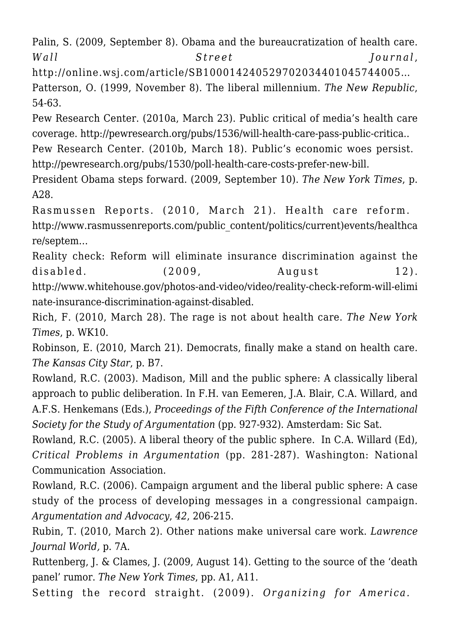Palin, S. (2009, September 8). Obama and the bureaucratization of health care. *Wall Street Journal* ,

http://online.wsj.com/article/SB100014240529702034401045744005… Patterson, O. (1999, November 8). The liberal millennium. *The New Republic*, 54-63.

Pew Research Center. (2010a, March 23). Public critical of media's health care coverage. http://pewresearch.org/pubs/1536/will-health-care-pass-public-critica..

Pew Research Center. (2010b, March 18). Public's economic woes persist. http://pewresearch.org/pubs/1530/poll-health-care-costs-prefer-new-bill.

President Obama steps forward. (2009, September 10). *The New York Times*, p. A28.

Rasmussen Reports. (2010, March 21). Health care reform. http://www.rasmussenreports.com/public\_content/politics/current)events/healthca re/septem…

Reality check: Reform will eliminate insurance discrimination against the disabled. (2009, August 12).

http://www.whitehouse.gov/photos-and-video/video/reality-check-reform-will-elimi nate-insurance-discrimination-against-disabled.

Rich, F. (2010, March 28). The rage is not about health care. *The New York Times*, p. WK10.

Robinson, E. (2010, March 21). Democrats, finally make a stand on health care. *The Kansas City Star*, p. B7.

Rowland, R.C. (2003). Madison, Mill and the public sphere: A classically liberal approach to public deliberation. In F.H. van Eemeren, J.A. Blair, C.A. Willard, and A.F.S. Henkemans (Eds.), *Proceedings of the Fifth Conference of the International Society for the Study of Argumentation* (pp. 927-932). Amsterdam: Sic Sat.

Rowland, R.C. (2005). A liberal theory of the public sphere. In C.A. Willard (Ed), *Critical Problems in Argumentation* (pp. 281-287). Washington: National Communication Association.

Rowland, R.C. (2006). Campaign argument and the liberal public sphere: A case study of the process of developing messages in a congressional campaign. *Argumentation and Advocacy*, *42*, 206-215.

Rubin, T. (2010, March 2). Other nations make universal care work. *Lawrence Journal World,* p. 7A.

Ruttenberg, J. & Clames, J. (2009, August 14). Getting to the source of the 'death panel' rumor. *The New York Times*, pp. A1, A11.

Setting the record straight. (2009). *Organizing for America.*